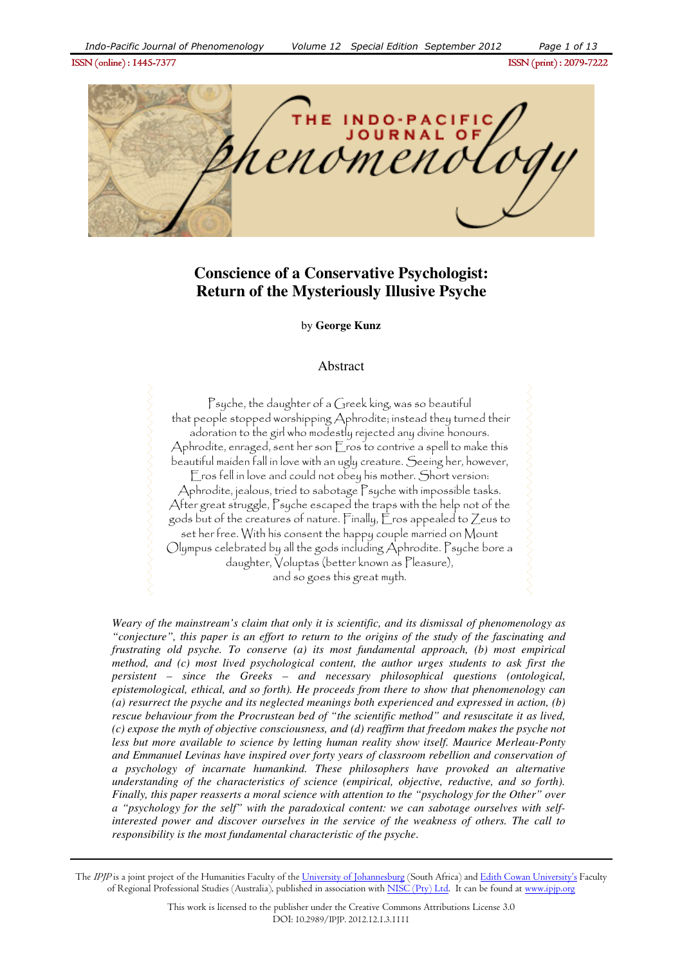ISSN (online) : 1445- ISSN (online) : 1445-7377ISSN (print) : 2079- ISSN 2079-7222



# **Conscience of a Conservative Psychologist: Return of the Mysteriously Illusive Psyche**

by **George Kunz**

## Abstract

Psyche, the daughter of a Greek king, was so beautiful that people stopped worshipping Aphrodite; instead they turned their adoration to the girl who modestly rejected any divine honours. Aphrodite, enraged, sent her son Eros to contrive a spell to make this beautiful maiden fall in love with an ugly creature. Seeing her, however,

Eros fell in love and could not obey his mother. Short version: Aphrodite, jealous, tried to sabotage Psyche with impossible tasks. After great struggle, Psyche escaped the traps with the help not of the gods but of the creatures of nature. Finally, Eros appealed to Zeus to set her free. With his consent the happy couple married on Mount Olympus celebrated by all the gods including Aphrodite. Psyche bore a daughter, Voluptas (better known as Pleasure), and so goes this great myth.

*Weary of the mainstream's claim that only it is scientific, and its dismissal of phenomenology as "conjecture", this paper is an effort to return to the origins of the study of the fascinating and frustrating old psyche. To conserve (a) its most fundamental approach, (b) most empirical method, and (c) most lived psychological content, the author urges students to ask first the persistent – since the Greeks – and necessary philosophical questions (ontological, epistemological, ethical, and so forth). He proceeds from there to show that phenomenology can (a) resurrect the psyche and its neglected meanings both experienced and expressed in action, (b) rescue behaviour from the Procrustean bed of "the scientific method" and resuscitate it as lived, (c) expose the myth of objective consciousness, and (d) reaffirm that freedom makes the psyche not*  less but more available to science by letting human reality show itself. Maurice Merleau-Ponty *and Emmanuel Levinas have inspired over forty years of classroom rebellion and conservation of a psychology of incarnate humankind. These philosophers have provoked an alternative understanding of the characteristics of science (empirical, objective, reductive, and so forth). Finally, this paper reasserts a moral science with attention to the "psychology for the Other" over a "psychology for the self" with the paradoxical content: we can sabotage ourselves with selfinterested power and discover ourselves in the service of the weakness of others. The call to responsibility is the most fundamental characteristic of the psyche*.

The IPJP is a joint project of the Humanities Faculty of the University of Johannesburg (South Africa) and Edith Cowan University's Faculty of Regional Professional Studies (Australia), published in association with NISC (Pty) Ltd. It can be found at www.ipjp.org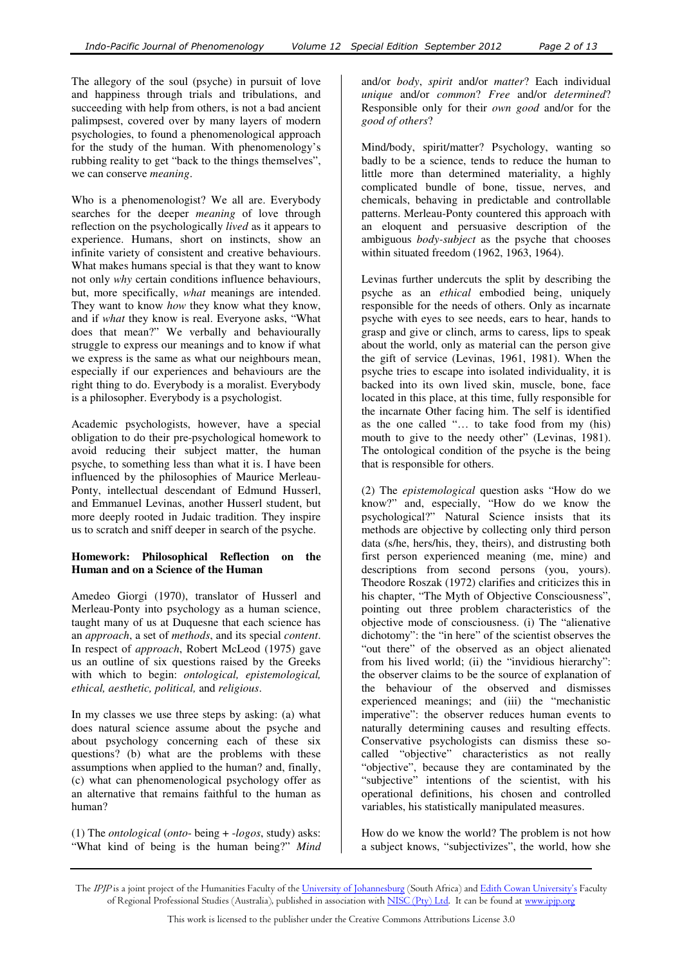The allegory of the soul (psyche) in pursuit of love and happiness through trials and tribulations, and succeeding with help from others, is not a bad ancient palimpsest, covered over by many layers of modern psychologies, to found a phenomenological approach for the study of the human. With phenomenology's rubbing reality to get "back to the things themselves", we can conserve *meaning*.

Who is a phenomenologist? We all are. Everybody searches for the deeper *meaning* of love through reflection on the psychologically *lived* as it appears to experience. Humans, short on instincts, show an infinite variety of consistent and creative behaviours. What makes humans special is that they want to know not only *why* certain conditions influence behaviours, but, more specifically, *what* meanings are intended. They want to know *how* they know what they know, and if *what* they know is real. Everyone asks, "What does that mean?" We verbally and behaviourally struggle to express our meanings and to know if what we express is the same as what our neighbours mean, especially if our experiences and behaviours are the right thing to do. Everybody is a moralist. Everybody is a philosopher. Everybody is a psychologist.

Academic psychologists, however, have a special obligation to do their pre-psychological homework to avoid reducing their subject matter, the human psyche, to something less than what it is. I have been influenced by the philosophies of Maurice Merleau-Ponty, intellectual descendant of Edmund Husserl, and Emmanuel Levinas, another Husserl student, but more deeply rooted in Judaic tradition. They inspire us to scratch and sniff deeper in search of the psyche.

## **Homework: Philosophical Reflection on the Human and on a Science of the Human**

Amedeo Giorgi (1970), translator of Husserl and Merleau-Ponty into psychology as a human science, taught many of us at Duquesne that each science has an *approach*, a set of *methods*, and its special *content*. In respect of *approach*, Robert McLeod (1975) gave us an outline of six questions raised by the Greeks with which to begin: *ontological, epistemological, ethical, aesthetic, political,* and *religious*.

In my classes we use three steps by asking: (a) what does natural science assume about the psyche and about psychology concerning each of these six questions? (b) what are the problems with these assumptions when applied to the human? and, finally, (c) what can phenomenological psychology offer as an alternative that remains faithful to the human as human?

(1) The *ontological* (*onto*- being + -*logos*, study) asks: "What kind of being is the human being?" *Mind* and/or *body*, *spirit* and/or *matter*? Each individual *unique* and/or *common*? *Free* and/or *determined*? Responsible only for their *own good* and/or for the *good of others*?

Mind/body, spirit/matter? Psychology, wanting so badly to be a science, tends to reduce the human to little more than determined materiality, a highly complicated bundle of bone, tissue, nerves, and chemicals, behaving in predictable and controllable patterns. Merleau-Ponty countered this approach with an eloquent and persuasive description of the ambiguous *body-subject* as the psyche that chooses within situated freedom (1962, 1963, 1964).

Levinas further undercuts the split by describing the psyche as an *ethical* embodied being, uniquely responsible for the needs of others. Only as incarnate psyche with eyes to see needs, ears to hear, hands to grasp and give or clinch, arms to caress, lips to speak about the world, only as material can the person give the gift of service (Levinas, 1961, 1981). When the psyche tries to escape into isolated individuality, it is backed into its own lived skin, muscle, bone, face located in this place, at this time, fully responsible for the incarnate Other facing him. The self is identified as the one called "… to take food from my (his) mouth to give to the needy other" (Levinas, 1981). The ontological condition of the psyche is the being that is responsible for others.

(2) The *epistemological* question asks "How do we know?" and, especially, "How do we know the psychological?" Natural Science insists that its methods are objective by collecting only third person data (s/he, hers/his, they, theirs), and distrusting both first person experienced meaning (me, mine) and descriptions from second persons (you, yours). Theodore Roszak (1972) clarifies and criticizes this in his chapter, "The Myth of Objective Consciousness", pointing out three problem characteristics of the objective mode of consciousness. (i) The "alienative dichotomy": the "in here" of the scientist observes the "out there" of the observed as an object alienated from his lived world; (ii) the "invidious hierarchy": the observer claims to be the source of explanation of the behaviour of the observed and dismisses experienced meanings; and (iii) the "mechanistic imperative": the observer reduces human events to naturally determining causes and resulting effects. Conservative psychologists can dismiss these socalled "objective" characteristics as not really "objective", because they are contaminated by the "subjective" intentions of the scientist, with his operational definitions, his chosen and controlled variables, his statistically manipulated measures.

How do we know the world? The problem is not how a subject knows, "subjectivizes", the world, how she

The IPJP is a joint project of the Humanities Faculty of the University of Johannesburg (South Africa) and Edith Cowan University's Faculty of Regional Professional Studies (Australia), published in association with NISC (Pty) Ltd. It can be found at www.ipjp.org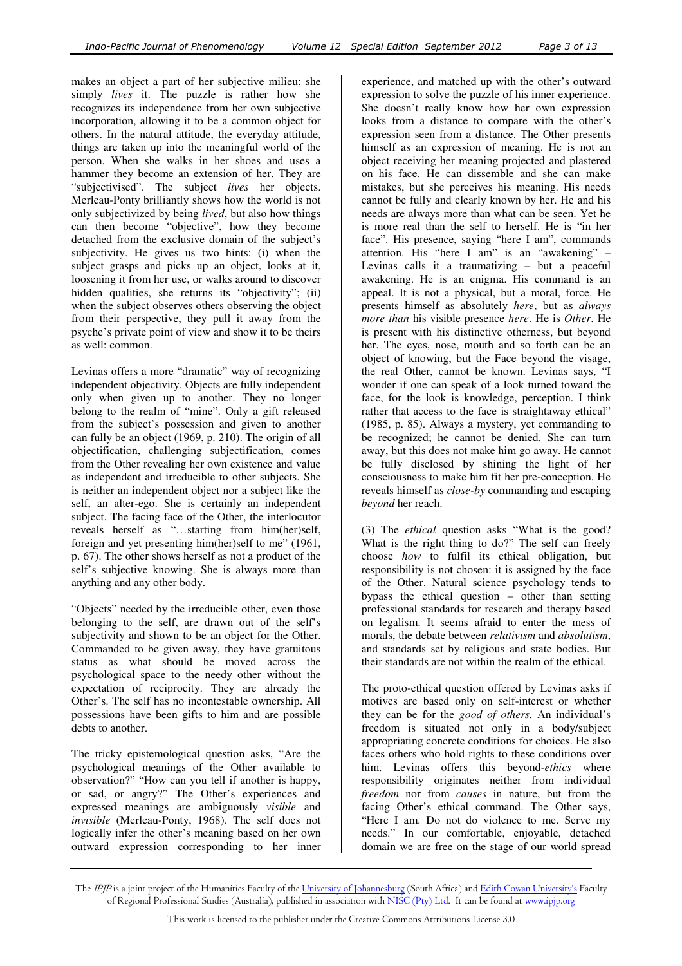makes an object a part of her subjective milieu; she simply *lives* it. The puzzle is rather how she recognizes its independence from her own subjective incorporation, allowing it to be a common object for others. In the natural attitude, the everyday attitude, things are taken up into the meaningful world of the person. When she walks in her shoes and uses a hammer they become an extension of her. They are "subjectivised". The subject *lives* her objects. Merleau-Ponty brilliantly shows how the world is not only subjectivized by being *lived*, but also how things can then become "objective", how they become detached from the exclusive domain of the subject's subjectivity. He gives us two hints: (i) when the subject grasps and picks up an object, looks at it, loosening it from her use, or walks around to discover hidden qualities, she returns its "objectivity"; (ii) when the subject observes others observing the object from their perspective, they pull it away from the psyche's private point of view and show it to be theirs as well: common.

Levinas offers a more "dramatic" way of recognizing independent objectivity. Objects are fully independent only when given up to another. They no longer belong to the realm of "mine". Only a gift released from the subject's possession and given to another can fully be an object (1969, p. 210). The origin of all objectification, challenging subjectification, comes from the Other revealing her own existence and value as independent and irreducible to other subjects. She is neither an independent object nor a subject like the self, an alter-ego. She is certainly an independent subject. The facing face of the Other, the interlocutor reveals herself as "…starting from him(her)self, foreign and yet presenting him(her)self to me" (1961, p. 67). The other shows herself as not a product of the self's subjective knowing. She is always more than anything and any other body.

"Objects" needed by the irreducible other, even those belonging to the self, are drawn out of the self's subjectivity and shown to be an object for the Other. Commanded to be given away, they have gratuitous status as what should be moved across the psychological space to the needy other without the expectation of reciprocity. They are already the Other's. The self has no incontestable ownership. All possessions have been gifts to him and are possible debts to another.

The tricky epistemological question asks, "Are the psychological meanings of the Other available to observation?" "How can you tell if another is happy, or sad, or angry?" The Other's experiences and expressed meanings are ambiguously *visible* and *invisible* (Merleau-Ponty, 1968). The self does not logically infer the other's meaning based on her own outward expression corresponding to her inner

experience, and matched up with the other's outward expression to solve the puzzle of his inner experience. She doesn't really know how her own expression looks from a distance to compare with the other's expression seen from a distance. The Other presents himself as an expression of meaning. He is not an object receiving her meaning projected and plastered on his face. He can dissemble and she can make mistakes, but she perceives his meaning. His needs cannot be fully and clearly known by her. He and his needs are always more than what can be seen. Yet he is more real than the self to herself. He is "in her face". His presence, saying "here I am", commands attention. His "here I am" is an "awakening" – Levinas calls it a traumatizing – but a peaceful awakening. He is an enigma. His command is an appeal. It is not a physical, but a moral, force. He presents himself as absolutely *here*, but as *always more than* his visible presence *here*. He is *Other*. He is present with his distinctive otherness, but beyond her. The eyes, nose, mouth and so forth can be an object of knowing, but the Face beyond the visage, the real Other, cannot be known. Levinas says, "I wonder if one can speak of a look turned toward the face, for the look is knowledge, perception. I think rather that access to the face is straightaway ethical" (1985, p. 85). Always a mystery, yet commanding to be recognized; he cannot be denied. She can turn away, but this does not make him go away. He cannot be fully disclosed by shining the light of her consciousness to make him fit her pre-conception. He reveals himself as *close-by* commanding and escaping *beyond* her reach.

(3) The *ethical* question asks "What is the good? What is the right thing to do?" The self can freely choose *how* to fulfil its ethical obligation, but responsibility is not chosen: it is assigned by the face of the Other. Natural science psychology tends to bypass the ethical question – other than setting professional standards for research and therapy based on legalism. It seems afraid to enter the mess of morals, the debate between *relativism* and *absolutism*, and standards set by religious and state bodies. But their standards are not within the realm of the ethical.

The proto-ethical question offered by Levinas asks if motives are based only on self-interest or whether they can be for the *good of others.* An individual's freedom is situated not only in a body/subject appropriating concrete conditions for choices. He also faces others who hold rights to these conditions over him. Levinas offers this beyond-*ethics* where responsibility originates neither from individual *freedom* nor from *causes* in nature, but from the facing Other's ethical command. The Other says, "Here I am. Do not do violence to me. Serve my needs." In our comfortable, enjoyable, detached domain we are free on the stage of our world spread

The *IPJP* is a joint project of the Humanities Faculty of the <u>University of Johannesburg</u> (South Africa) and <u>Edith Cowan University's</u> Faculty of Regional Professional Studies (Australia), published in association with <u>NISC (Pty) Ltd</u>. It can be found at <u>www.ipjp.org</u>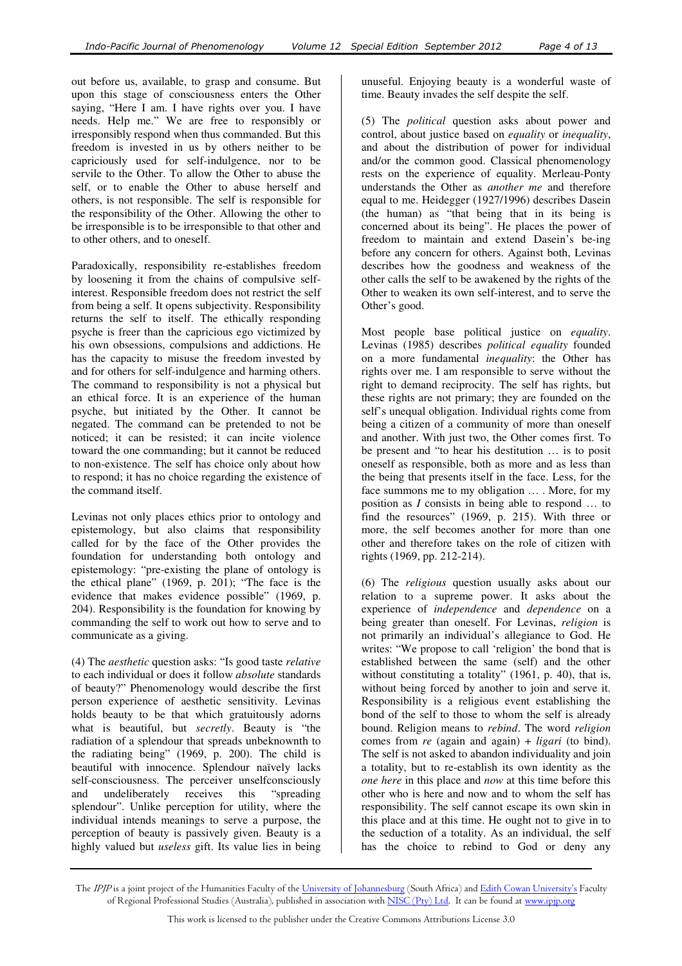out before us, available, to grasp and consume. But upon this stage of consciousness enters the Other saying, "Here I am. I have rights over you. I have needs. Help me." We are free to responsibly or irresponsibly respond when thus commanded. But this freedom is invested in us by others neither to be capriciously used for self-indulgence, nor to be servile to the Other. To allow the Other to abuse the self, or to enable the Other to abuse herself and others, is not responsible. The self is responsible for the responsibility of the Other. Allowing the other to be irresponsible is to be irresponsible to that other and to other others, and to oneself.

Paradoxically, responsibility re-establishes freedom by loosening it from the chains of compulsive selfinterest. Responsible freedom does not restrict the self from being a self. It opens subjectivity. Responsibility returns the self to itself. The ethically responding psyche is freer than the capricious ego victimized by his own obsessions, compulsions and addictions. He has the capacity to misuse the freedom invested by and for others for self-indulgence and harming others. The command to responsibility is not a physical but an ethical force. It is an experience of the human psyche, but initiated by the Other. It cannot be negated. The command can be pretended to not be noticed; it can be resisted; it can incite violence toward the one commanding; but it cannot be reduced to non-existence. The self has choice only about how to respond; it has no choice regarding the existence of the command itself.

Levinas not only places ethics prior to ontology and epistemology, but also claims that responsibility called for by the face of the Other provides the foundation for understanding both ontology and epistemology: "pre-existing the plane of ontology is the ethical plane" (1969, p. 201); "The face is the evidence that makes evidence possible" (1969, p. 204). Responsibility is the foundation for knowing by commanding the self to work out how to serve and to communicate as a giving.

(4) The *aesthetic* question asks: "Is good taste *relative* to each individual or does it follow *absolute* standards of beauty?" Phenomenology would describe the first person experience of aesthetic sensitivity. Levinas holds beauty to be that which gratuitously adorns what is beautiful, but *secretly*. Beauty is "the radiation of a splendour that spreads unbeknownth to the radiating being" (1969, p. 200). The child is beautiful with innocence. Splendour naïvely lacks self-consciousness. The perceiver unselfconsciously and undeliberately receives this "spreading splendour". Unlike perception for utility, where the individual intends meanings to serve a purpose, the perception of beauty is passively given. Beauty is a highly valued but *useless* gift. Its value lies in being

unuseful. Enjoying beauty is a wonderful waste of time. Beauty invades the self despite the self.

(5) The *political* question asks about power and control, about justice based on *equality* or *inequality*, and about the distribution of power for individual and/or the common good. Classical phenomenology rests on the experience of equality. Merleau-Ponty understands the Other as *another me* and therefore equal to me. Heidegger (1927/1996) describes Dasein (the human) as "that being that in its being is concerned about its being". He places the power of freedom to maintain and extend Dasein's be-ing before any concern for others. Against both, Levinas describes how the goodness and weakness of the other calls the self to be awakened by the rights of the Other to weaken its own self-interest, and to serve the Other's good.

Most people base political justice on *equality*. Levinas (1985) describes *political equality* founded on a more fundamental *inequality*: the Other has rights over me. I am responsible to serve without the right to demand reciprocity. The self has rights, but these rights are not primary; they are founded on the self's unequal obligation. Individual rights come from being a citizen of a community of more than oneself and another. With just two, the Other comes first. To be present and "to hear his destitution … is to posit oneself as responsible, both as more and as less than the being that presents itself in the face. Less, for the face summons me to my obligation … . More, for my position as *I* consists in being able to respond … to find the resources" (1969, p. 215). With three or more, the self becomes another for more than one other and therefore takes on the role of citizen with rights (1969, pp. 212-214).

(6) The *religious* question usually asks about our relation to a supreme power. It asks about the experience of *independence* and *dependence* on a being greater than oneself. For Levinas, *religion* is not primarily an individual's allegiance to God. He writes: "We propose to call 'religion' the bond that is established between the same (self) and the other without constituting a totality" (1961, p. 40), that is, without being forced by another to join and serve it. Responsibility is a religious event establishing the bond of the self to those to whom the self is already bound. Religion means to *rebind*. The word *religion* comes from *re* (again and again) + *ligari* (to bind). The self is not asked to abandon individuality and join a totality, but to re-establish its own identity as the *one here* in this place and *now* at this time before this other who is here and now and to whom the self has responsibility. The self cannot escape its own skin in this place and at this time. He ought not to give in to the seduction of a totality. As an individual, the self has the choice to rebind to God or deny any

The *IPJP* is a joint project of the Humanities Faculty of the <u>University of Johannesburg</u> (South Africa) and <u>Edith Cowan University's</u> Faculty of Regional Professional Studies (Australia), published in association with <u>NISC (Pty) Ltd</u>. It can be found at <u>www.ipjp.org</u>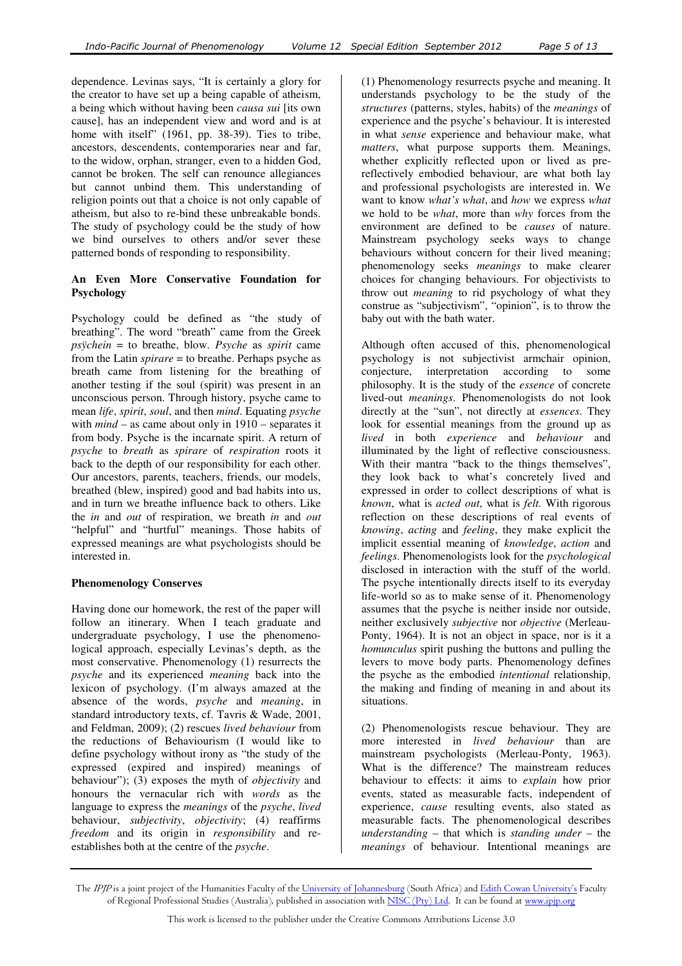dependence. Levinas says, "It is certainly a glory for the creator to have set up a being capable of atheism, a being which without having been *causa sui* [its own cause], has an independent view and word and is at home with itself" (1961, pp. 38-39). Ties to tribe, ancestors, descendents, contemporaries near and far, to the widow, orphan, stranger, even to a hidden God, cannot be broken. The self can renounce allegiances but cannot unbind them. This understanding of religion points out that a choice is not only capable of atheism, but also to re-bind these unbreakable bonds. The study of psychology could be the study of how we bind ourselves to others and/or sever these patterned bonds of responding to responsibility.

## **An Even More Conservative Foundation for Psychology**

Psychology could be defined as "the study of breathing". The word "breath" came from the Greek *psÿchein* = to breathe, blow. *Psyche* as *spirit* came from the Latin *spirare* = to breathe. Perhaps psyche as breath came from listening for the breathing of another testing if the soul (spirit) was present in an unconscious person. Through history, psyche came to mean *life*, *spirit*, *soul*, and then *mind*. Equating *psyche* with *mind* – as came about only in 1910 – separates it from body. Psyche is the incarnate spirit. A return of *psyche* to *breath* as *spirare* of *respiration* roots it back to the depth of our responsibility for each other. Our ancestors, parents, teachers, friends, our models, breathed (blew, inspired) good and bad habits into us, and in turn we breathe influence back to others. Like the *in* and *out* of respiration, we breath *in* and *out* "helpful" and "hurtful" meanings. Those habits of expressed meanings are what psychologists should be interested in.

## **Phenomenology Conserves**

Having done our homework, the rest of the paper will follow an itinerary. When I teach graduate and undergraduate psychology, I use the phenomenological approach, especially Levinas's depth, as the most conservative. Phenomenology (1) resurrects the *psyche* and its experienced *meaning* back into the lexicon of psychology. (I'm always amazed at the absence of the words, *psyche* and *meaning*, in standard introductory texts, cf. Tavris & Wade, 2001, and Feldman, 2009); (2) rescues *lived behaviour* from the reductions of Behaviourism (I would like to define psychology without irony as "the study of the expressed (expired and inspired) meanings of behaviour"); (3) exposes the myth of *objectivity* and honours the vernacular rich with *words* as the language to express the *meanings* of the *psyche*, *lived* behaviour, *subjectivity*, *objectivity*; (4) reaffirms *freedom* and its origin in *responsibility* and reestablishes both at the centre of the *psyche*.

(1) Phenomenology resurrects psyche and meaning. It understands psychology to be the study of the *structures* (patterns, styles, habits) of the *meanings* of experience and the psyche's behaviour. It is interested in what *sense* experience and behaviour make, what *matters*, what purpose supports them. Meanings, whether explicitly reflected upon or lived as prereflectively embodied behaviour, are what both lay and professional psychologists are interested in. We want to know *what's what*, and *how* we express *what* we hold to be *what*, more than *why* forces from the environment are defined to be *causes* of nature. Mainstream psychology seeks ways to change behaviours without concern for their lived meaning; phenomenology seeks *meanings* to make clearer choices for changing behaviours. For objectivists to throw out *meaning* to rid psychology of what they construe as "subjectivism", "opinion", is to throw the baby out with the bath water.

Although often accused of this, phenomenological psychology is not subjectivist armchair opinion, conjecture, interpretation according to some philosophy. It is the study of the *essence* of concrete lived-out *meanings*. Phenomenologists do not look directly at the "sun", not directly at *essences*. They look for essential meanings from the ground up as *lived* in both *experience* and *behaviour* and illuminated by the light of reflective consciousness. With their mantra "back to the things themselves", they look back to what's concretely lived and expressed in order to collect descriptions of what is *known*, what is *acted out*, what is *felt.* With rigorous reflection on these descriptions of real events of *knowing*, *acting* and *feeling*, they make explicit the implicit essential meaning of *knowledge*, *action* and *feelings*. Phenomenologists look for the *psychological* disclosed in interaction with the stuff of the world. The psyche intentionally directs itself to its everyday life-world so as to make sense of it. Phenomenology assumes that the psyche is neither inside nor outside, neither exclusively *subjective* nor *objective* (Merleau-Ponty, 1964). It is not an object in space, nor is it a *homunculus* spirit pushing the buttons and pulling the levers to move body parts. Phenomenology defines the psyche as the embodied *intentional* relationship, the making and finding of meaning in and about its situations.

(2) Phenomenologists rescue behaviour. They are more interested in *lived behaviour* than are mainstream psychologists (Merleau-Ponty, 1963). What is the difference? The mainstream reduces behaviour to effects: it aims to *explain* how prior events, stated as measurable facts, independent of experience, *cause* resulting events, also stated as measurable facts. The phenomenological describes *understanding* – that which is *standing under* – the *meanings* of behaviour. Intentional meanings are

The *IPJP* is a joint project of the Humanities Faculty of the <u>University of Johannesburg</u> (South Africa) and <u>Edith Cowan University's</u> Faculty of Regional Professional Studies (Australia), published in association with <u>NISC (Pty) Ltd</u>. It can be found at <u>www.ipjp.org</u>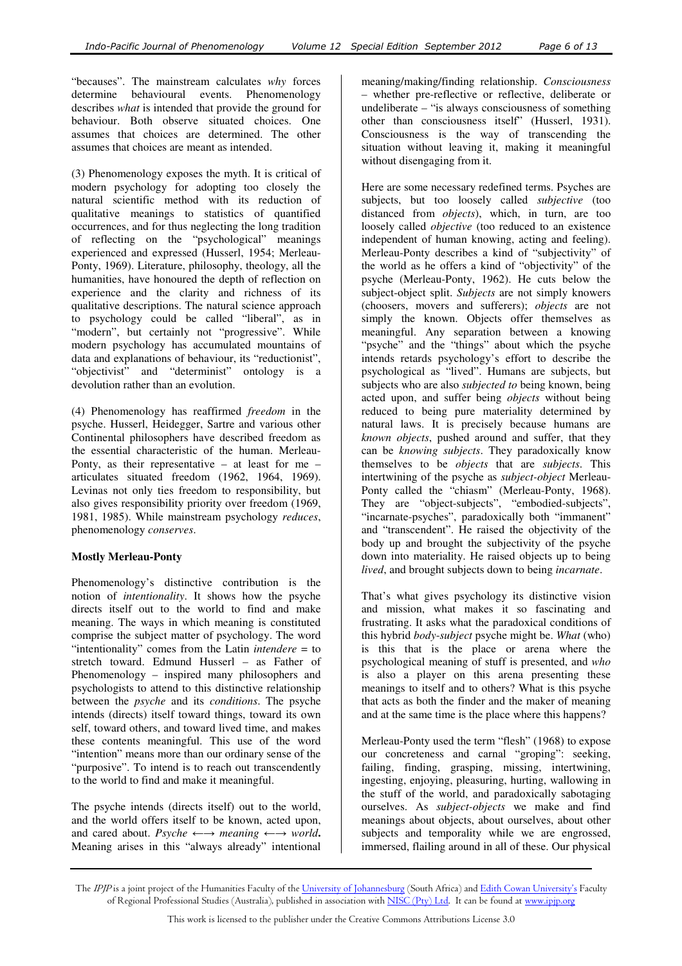"becauses". The mainstream calculates *why* forces determine behavioural events. Phenomenology describes *what* is intended that provide the ground for behaviour. Both observe situated choices. One assumes that choices are determined. The other assumes that choices are meant as intended.

(3) Phenomenology exposes the myth. It is critical of modern psychology for adopting too closely the natural scientific method with its reduction of qualitative meanings to statistics of quantified occurrences, and for thus neglecting the long tradition of reflecting on the "psychological" meanings experienced and expressed (Husserl, 1954; Merleau-Ponty, 1969). Literature, philosophy, theology, all the humanities, have honoured the depth of reflection on experience and the clarity and richness of its qualitative descriptions. The natural science approach to psychology could be called "liberal", as in "modern", but certainly not "progressive". While modern psychology has accumulated mountains of data and explanations of behaviour, its "reductionist", "objectivist" and "determinist" ontology is a devolution rather than an evolution.

(4) Phenomenology has reaffirmed *freedom* in the psyche. Husserl, Heidegger, Sartre and various other Continental philosophers have described freedom as the essential characteristic of the human. Merleau-Ponty, as their representative – at least for me – articulates situated freedom (1962, 1964, 1969). Levinas not only ties freedom to responsibility, but also gives responsibility priority over freedom (1969, 1981, 1985). While mainstream psychology *reduces*, phenomenology *conserves*.

### **Mostly Merleau-Ponty**

Phenomenology's distinctive contribution is the notion of *intentionality*. It shows how the psyche directs itself out to the world to find and make meaning. The ways in which meaning is constituted comprise the subject matter of psychology. The word "intentionality" comes from the Latin *intendere* = to stretch toward. Edmund Husserl – as Father of Phenomenology – inspired many philosophers and psychologists to attend to this distinctive relationship between the *psyche* and its *conditions*. The psyche intends (directs) itself toward things, toward its own self, toward others, and toward lived time, and makes these contents meaningful. This use of the word "intention" means more than our ordinary sense of the "purposive". To intend is to reach out transcendently to the world to find and make it meaningful.

The psyche intends (directs itself) out to the world, and the world offers itself to be known, acted upon, and cared about. *Psyche*  $\leftarrow \rightarrow$  *meaning*  $\leftarrow \rightarrow$  *world*. Meaning arises in this "always already" intentional meaning/making/finding relationship. *Consciousness* – whether pre-reflective or reflective, deliberate or undeliberate – "is always consciousness of something other than consciousness itself" (Husserl, 1931). Consciousness is the way of transcending the situation without leaving it, making it meaningful without disengaging from it.

Here are some necessary redefined terms. Psyches are subjects, but too loosely called *subjective* (too distanced from *objects*), which, in turn, are too loosely called *objective* (too reduced to an existence independent of human knowing, acting and feeling). Merleau-Ponty describes a kind of "subjectivity" of the world as he offers a kind of "objectivity" of the psyche (Merleau-Ponty, 1962). He cuts below the subject-object split. *Subjects* are not simply knowers (choosers, movers and sufferers); *objects* are not simply the known. Objects offer themselves as meaningful. Any separation between a knowing "psyche" and the "things" about which the psyche intends retards psychology's effort to describe the psychological as "lived". Humans are subjects, but subjects who are also *subjected to* being known, being acted upon, and suffer being *objects* without being reduced to being pure materiality determined by natural laws. It is precisely because humans are *known objects*, pushed around and suffer, that they can be *knowing subjects*. They paradoxically know themselves to be *objects* that are *subjects*. This intertwining of the psyche as *subject-object* Merleau-Ponty called the "chiasm" (Merleau-Ponty, 1968). They are "object-subjects", "embodied-subjects", "incarnate-psyches", paradoxically both "immanent" and "transcendent". He raised the objectivity of the body up and brought the subjectivity of the psyche down into materiality. He raised objects up to being *lived*, and brought subjects down to being *incarnate*.

That's what gives psychology its distinctive vision and mission, what makes it so fascinating and frustrating. It asks what the paradoxical conditions of this hybrid *body*-*subject* psyche might be. *What* (who) is this that is the place or arena where the psychological meaning of stuff is presented, and *who* is also a player on this arena presenting these meanings to itself and to others? What is this psyche that acts as both the finder and the maker of meaning and at the same time is the place where this happens?

Merleau-Ponty used the term "flesh" (1968) to expose our concreteness and carnal "groping": seeking, failing, finding, grasping, missing, intertwining, ingesting, enjoying, pleasuring, hurting, wallowing in the stuff of the world, and paradoxically sabotaging ourselves. As *subject-objects* we make and find meanings about objects, about ourselves, about other subjects and temporality while we are engrossed, immersed, flailing around in all of these. Our physical

The IPJP is a joint project of the Humanities Faculty of the University of Johannesburg (South Africa) and Edith Cowan University's Faculty of Regional Professional Studies (Australia), published in association with NISC (Pty) Ltd. It can be found at www.ipjp.org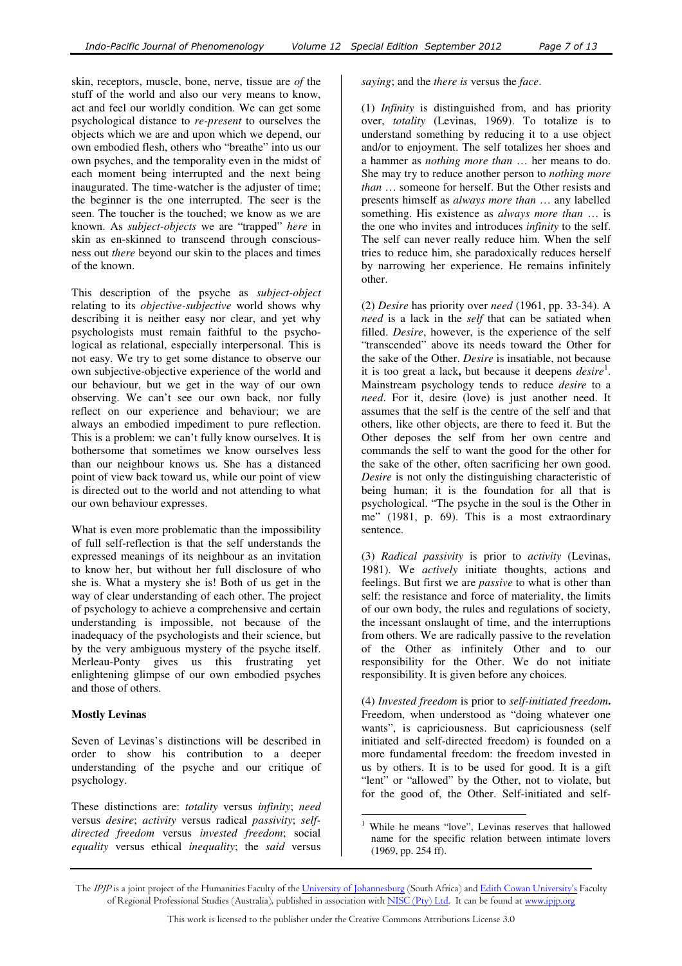skin, receptors, muscle, bone, nerve, tissue are *of* the stuff of the world and also our very means to know, act and feel our worldly condition. We can get some psychological distance to *re-present* to ourselves the objects which we are and upon which we depend, our own embodied flesh, others who "breathe" into us our own psyches, and the temporality even in the midst of each moment being interrupted and the next being inaugurated. The time-watcher is the adjuster of time; the beginner is the one interrupted. The seer is the seen. The toucher is the touched; we know as we are known. As *subject-objects* we are "trapped" *here* in skin as en-skinned to transcend through consciousness out *there* beyond our skin to the places and times of the known.

This description of the psyche as *subject-object* relating to its *objective-subjective* world shows why describing it is neither easy nor clear, and yet why psychologists must remain faithful to the psychological as relational, especially interpersonal. This is not easy. We try to get some distance to observe our own subjective-objective experience of the world and our behaviour, but we get in the way of our own observing. We can't see our own back, nor fully reflect on our experience and behaviour; we are always an embodied impediment to pure reflection. This is a problem: we can't fully know ourselves. It is bothersome that sometimes we know ourselves less than our neighbour knows us. She has a distanced point of view back toward us, while our point of view is directed out to the world and not attending to what our own behaviour expresses.

What is even more problematic than the impossibility of full self-reflection is that the self understands the expressed meanings of its neighbour as an invitation to know her, but without her full disclosure of who she is. What a mystery she is! Both of us get in the way of clear understanding of each other. The project of psychology to achieve a comprehensive and certain understanding is impossible, not because of the inadequacy of the psychologists and their science, but by the very ambiguous mystery of the psyche itself. Merleau-Ponty gives us this frustrating yet enlightening glimpse of our own embodied psyches and those of others.

## **Mostly Levinas**

Seven of Levinas's distinctions will be described in order to show his contribution to a deeper understanding of the psyche and our critique of psychology.

These distinctions are: *totality* versus *infinity*; *need* versus *desire*; *activity* versus radical *passivity*; *selfdirected freedom* versus *invested freedom*; social *equality* versus ethical *inequality*; the *said* versus

## *saying*; and the *there is* versus the *face*.

(1) *Infinity* is distinguished from, and has priority over, *totality* (Levinas, 1969). To totalize is to understand something by reducing it to a use object and/or to enjoyment. The self totalizes her shoes and a hammer as *nothing more than* … her means to do. She may try to reduce another person to *nothing more than* … someone for herself. But the Other resists and presents himself as *always more than* … any labelled something. His existence as *always more than* … is the one who invites and introduces *infinity* to the self. The self can never really reduce him. When the self tries to reduce him, she paradoxically reduces herself by narrowing her experience. He remains infinitely other.

(2) *Desire* has priority over *need* (1961, pp. 33-34). A *need* is a lack in the *self* that can be satiated when filled. *Desire*, however, is the experience of the self "transcended" above its needs toward the Other for the sake of the Other. *Desire* is insatiable, not because it is too great a lack, but because it deepens *desire*<sup>1</sup>. Mainstream psychology tends to reduce *desire* to a *need*. For it, desire (love) is just another need. It assumes that the self is the centre of the self and that others, like other objects, are there to feed it. But the Other deposes the self from her own centre and commands the self to want the good for the other for the sake of the other, often sacrificing her own good. *Desire* is not only the distinguishing characteristic of being human; it is the foundation for all that is psychological. "The psyche in the soul is the Other in me" (1981, p. 69). This is a most extraordinary sentence.

(3) *Radical passivity* is prior to *activity* (Levinas, 1981). We *actively* initiate thoughts, actions and feelings. But first we are *passive* to what is other than self: the resistance and force of materiality, the limits of our own body, the rules and regulations of society, the incessant onslaught of time, and the interruptions from others. We are radically passive to the revelation of the Other as infinitely Other and to our responsibility for the Other. We do not initiate responsibility. It is given before any choices.

(4) *Invested freedom* is prior to *self-initiated freedom***.** Freedom, when understood as "doing whatever one wants", is capriciousness. But capriciousness (self initiated and self-directed freedom) is founded on a more fundamental freedom: the freedom invested in us by others. It is to be used for good. It is a gift "lent" or "allowed" by the Other, not to violate, but for the good of, the Other. Self-initiated and self-

 $\overline{a}$ 

<sup>&</sup>lt;sup>1</sup> While he means "love", Levinas reserves that hallowed name for the specific relation between intimate lovers (1969, pp. 254 ff).

The IPJP is a joint project of the Humanities Faculty of the University of Johannesburg (South Africa) and Edith Cowan University's Faculty of Regional Professional Studies (Australia), published in association with NISC (Pty) Ltd. It can be found at www.ipjp.org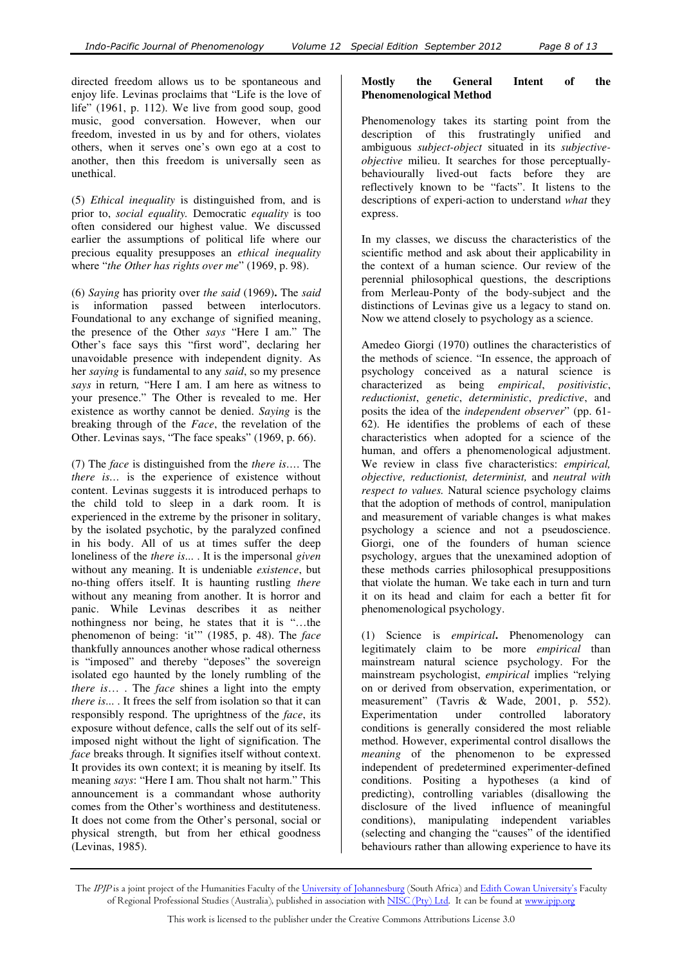directed freedom allows us to be spontaneous and enjoy life. Levinas proclaims that "Life is the love of life" (1961, p. 112). We live from good soup, good music, good conversation. However, when our freedom, invested in us by and for others, violates others, when it serves one's own ego at a cost to another, then this freedom is universally seen as unethical.

(5) *Ethical inequality* is distinguished from, and is prior to, *social equality.* Democratic *equality* is too often considered our highest value. We discussed earlier the assumptions of political life where our precious equality presupposes an *ethical inequality* where "*the Other has rights over me*" (1969, p. 98).

(6) *Saying* has priority over *the said* (1969)**.** The *said*  is information passed between interlocutors. Foundational to any exchange of signified meaning, the presence of the Other *says* "Here I am." The Other's face says this "first word", declaring her unavoidable presence with independent dignity. As her *saying* is fundamental to any *said*, so my presence *says* in return*,* "Here I am. I am here as witness to your presence." The Other is revealed to me. Her existence as worthy cannot be denied. *Saying* is the breaking through of the *Face*, the revelation of the Other. Levinas says, "The face speaks" (1969, p. 66).

(7) The *face* is distinguished from the *there is…*. The *there is…* is the experience of existence without content. Levinas suggests it is introduced perhaps to the child told to sleep in a dark room. It is experienced in the extreme by the prisoner in solitary, by the isolated psychotic, by the paralyzed confined in his body. All of us at times suffer the deep loneliness of the *there is*... . It is the impersonal *given* without any meaning. It is undeniable *existence*, but no-thing offers itself. It is haunting rustling *there* without any meaning from another. It is horror and panic. While Levinas describes it as neither nothingness nor being, he states that it is "…the phenomenon of being: 'it'" (1985, p. 48). The *face* thankfully announces another whose radical otherness is "imposed" and thereby "deposes" the sovereign isolated ego haunted by the lonely rumbling of the *there is*… . The *face* shines a light into the empty *there is*... . It frees the self from isolation so that it can responsibly respond. The uprightness of the *face*, its exposure without defence, calls the self out of its selfimposed night without the light of signification. The *face* breaks through. It signifies itself without context. It provides its own context; it is meaning by itself. Its meaning *says*: "Here I am. Thou shalt not harm." This announcement is a commandant whose authority comes from the Other's worthiness and destituteness. It does not come from the Other's personal, social or physical strength, but from her ethical goodness (Levinas, 1985).

# **Mostly the General Intent of the Phenomenological Method**

Phenomenology takes its starting point from the description of this frustratingly unified and ambiguous *subject-object* situated in its *subjectiveobjective* milieu. It searches for those perceptuallybehaviourally lived-out facts before they are reflectively known to be "facts". It listens to the descriptions of experi-action to understand *what* they express.

In my classes, we discuss the characteristics of the scientific method and ask about their applicability in the context of a human science. Our review of the perennial philosophical questions, the descriptions from Merleau-Ponty of the body-subject and the distinctions of Levinas give us a legacy to stand on. Now we attend closely to psychology as a science.

Amedeo Giorgi (1970) outlines the characteristics of the methods of science. "In essence, the approach of psychology conceived as a natural science is characterized as being *empirical*, *positivistic*, *reductionist*, *genetic*, *deterministic*, *predictive*, and posits the idea of the *independent observer*" (pp. 61- 62). He identifies the problems of each of these characteristics when adopted for a science of the human, and offers a phenomenological adjustment. We review in class five characteristics: *empirical, objective, reductionist, determinist,* and *neutral with respect to values.* Natural science psychology claims that the adoption of methods of control, manipulation and measurement of variable changes is what makes psychology a science and not a pseudoscience. Giorgi, one of the founders of human science psychology, argues that the unexamined adoption of these methods carries philosophical presuppositions that violate the human. We take each in turn and turn it on its head and claim for each a better fit for phenomenological psychology.

(1) Science is *empirical***.** Phenomenology can legitimately claim to be more *empirical* than mainstream natural science psychology. For the mainstream psychologist, *empirical* implies "relying on or derived from observation, experimentation, or measurement" (Tavris & Wade, 2001, p. 552). Experimentation under controlled laboratory conditions is generally considered the most reliable method. However, experimental control disallows the *meaning* of the phenomenon to be expressed independent of predetermined experimenter-defined conditions. Positing a hypotheses (a kind of predicting), controlling variables (disallowing the disclosure of the lived influence of meaningful conditions), manipulating independent variables (selecting and changing the "causes" of the identified behaviours rather than allowing experience to have its

The IPJP is a joint project of the Humanities Faculty of the University of Johannesburg (South Africa) and Edith Cowan University's Faculty of Regional Professional Studies (Australia), published in association with NISC (Pty) Ltd. It can be found at www.ipjp.org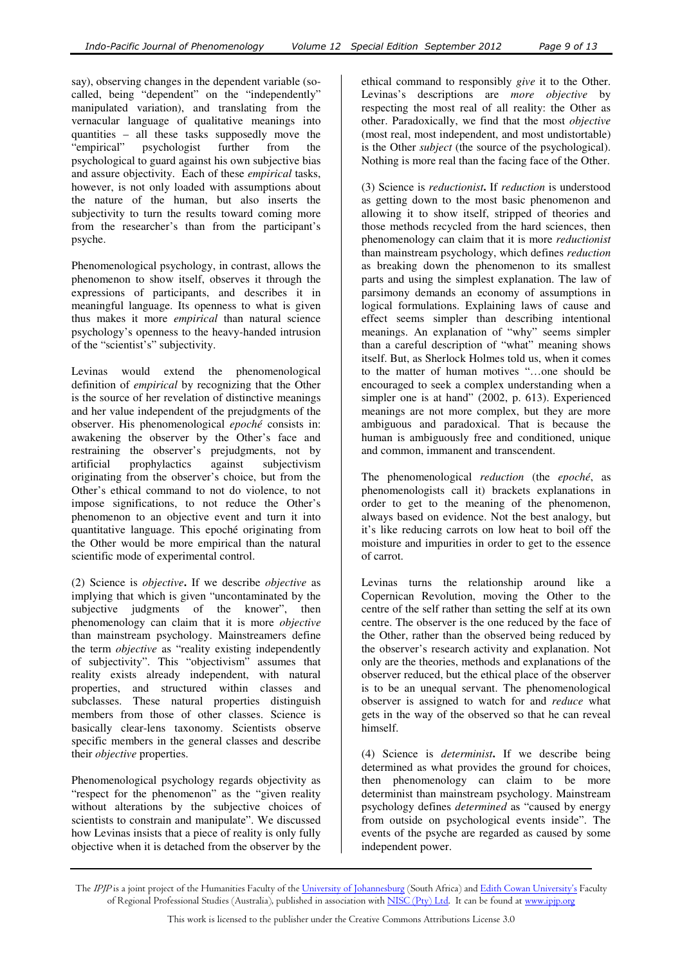say), observing changes in the dependent variable (socalled, being "dependent" on the "independently" manipulated variation), and translating from the vernacular language of qualitative meanings into quantities – all these tasks supposedly move the "empirical" psychologist further from the psychological to guard against his own subjective bias and assure objectivity. Each of these *empirical* tasks, however, is not only loaded with assumptions about the nature of the human, but also inserts the subjectivity to turn the results toward coming more from the researcher's than from the participant's psyche.

Phenomenological psychology, in contrast, allows the phenomenon to show itself, observes it through the expressions of participants, and describes it in meaningful language. Its openness to what is given thus makes it more *empirical* than natural science psychology's openness to the heavy-handed intrusion of the "scientist's" subjectivity.

Levinas would extend the phenomenological definition of *empirical* by recognizing that the Other is the source of her revelation of distinctive meanings and her value independent of the prejudgments of the observer. His phenomenological *epoché* consists in: awakening the observer by the Other's face and restraining the observer's prejudgments, not by artificial prophylactics against subjectivism originating from the observer's choice, but from the Other's ethical command to not do violence, to not impose significations, to not reduce the Other's phenomenon to an objective event and turn it into quantitative language. This epoché originating from the Other would be more empirical than the natural scientific mode of experimental control.

(2) Science is *objective***.** If we describe *objective* as implying that which is given "uncontaminated by the subjective judgments of the knower", then phenomenology can claim that it is more *objective* than mainstream psychology. Mainstreamers define the term *objective* as "reality existing independently of subjectivity". This "objectivism" assumes that reality exists already independent, with natural properties, and structured within classes and subclasses. These natural properties distinguish members from those of other classes. Science is basically clear-lens taxonomy. Scientists observe specific members in the general classes and describe their *objective* properties.

Phenomenological psychology regards objectivity as "respect for the phenomenon" as the "given reality without alterations by the subjective choices of scientists to constrain and manipulate". We discussed how Levinas insists that a piece of reality is only fully objective when it is detached from the observer by the

ethical command to responsibly *give* it to the Other. Levinas's descriptions are *more objective* by respecting the most real of all reality: the Other as other. Paradoxically, we find that the most *objective* (most real, most independent, and most undistortable) is the Other *subject* (the source of the psychological). Nothing is more real than the facing face of the Other.

(3) Science is *reductionist***.** If *reduction* is understood as getting down to the most basic phenomenon and allowing it to show itself, stripped of theories and those methods recycled from the hard sciences, then phenomenology can claim that it is more *reductionist* than mainstream psychology, which defines *reduction* as breaking down the phenomenon to its smallest parts and using the simplest explanation. The law of parsimony demands an economy of assumptions in logical formulations. Explaining laws of cause and effect seems simpler than describing intentional meanings. An explanation of "why" seems simpler than a careful description of "what" meaning shows itself. But, as Sherlock Holmes told us, when it comes to the matter of human motives "…one should be encouraged to seek a complex understanding when a simpler one is at hand" (2002, p. 613). Experienced meanings are not more complex, but they are more ambiguous and paradoxical. That is because the human is ambiguously free and conditioned, unique and common, immanent and transcendent.

The phenomenological *reduction* (the *epoché*, as phenomenologists call it) brackets explanations in order to get to the meaning of the phenomenon, always based on evidence. Not the best analogy, but it's like reducing carrots on low heat to boil off the moisture and impurities in order to get to the essence of carrot.

Levinas turns the relationship around like a Copernican Revolution, moving the Other to the centre of the self rather than setting the self at its own centre. The observer is the one reduced by the face of the Other, rather than the observed being reduced by the observer's research activity and explanation. Not only are the theories, methods and explanations of the observer reduced, but the ethical place of the observer is to be an unequal servant. The phenomenological observer is assigned to watch for and *reduce* what gets in the way of the observed so that he can reveal himself.

(4) Science is *determinist***.** If we describe being determined as what provides the ground for choices, then phenomenology can claim to be more determinist than mainstream psychology. Mainstream psychology defines *determined* as "caused by energy from outside on psychological events inside". The events of the psyche are regarded as caused by some independent power.

The *IPJP* is a joint project of the Humanities Faculty of the <u>University of Johannesburg</u> (South Africa) and <u>Edith Cowan University's</u> Faculty of Regional Professional Studies (Australia), published in association with <u>NISC (Pty) Ltd</u>. It can be found at <u>www.ipjp.org</u>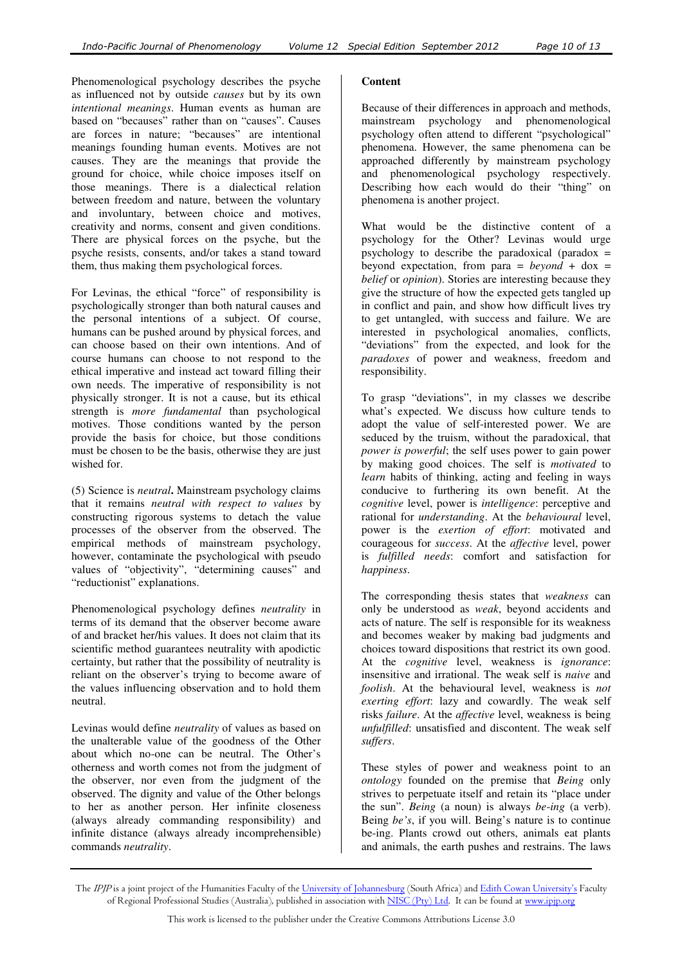Phenomenological psychology describes the psyche as influenced not by outside *causes* but by its own *intentional meanings*. Human events as human are based on "becauses" rather than on "causes". Causes are forces in nature; "becauses" are intentional meanings founding human events. Motives are not causes. They are the meanings that provide the ground for choice, while choice imposes itself on those meanings. There is a dialectical relation between freedom and nature, between the voluntary and involuntary, between choice and motives, creativity and norms, consent and given conditions. There are physical forces on the psyche, but the psyche resists, consents, and/or takes a stand toward them, thus making them psychological forces.

For Levinas, the ethical "force" of responsibility is psychologically stronger than both natural causes and the personal intentions of a subject. Of course, humans can be pushed around by physical forces, and can choose based on their own intentions. And of course humans can choose to not respond to the ethical imperative and instead act toward filling their own needs. The imperative of responsibility is not physically stronger. It is not a cause, but its ethical strength is *more fundamental* than psychological motives. Those conditions wanted by the person provide the basis for choice, but those conditions must be chosen to be the basis, otherwise they are just wished for.

(5) Science is *neutral***.** Mainstream psychology claims that it remains *neutral with respect to values* by constructing rigorous systems to detach the value processes of the observer from the observed. The empirical methods of mainstream psychology, however, contaminate the psychological with pseudo values of "objectivity", "determining causes" and "reductionist" explanations.

Phenomenological psychology defines *neutrality* in terms of its demand that the observer become aware of and bracket her/his values. It does not claim that its scientific method guarantees neutrality with apodictic certainty, but rather that the possibility of neutrality is reliant on the observer's trying to become aware of the values influencing observation and to hold them neutral.

Levinas would define *neutrality* of values as based on the unalterable value of the goodness of the Other about which no-one can be neutral. The Other's otherness and worth comes not from the judgment of the observer, nor even from the judgment of the observed. The dignity and value of the Other belongs to her as another person. Her infinite closeness (always already commanding responsibility) and infinite distance (always already incomprehensible) commands *neutrality*.

## **Content**

Because of their differences in approach and methods, mainstream psychology and phenomenological psychology often attend to different "psychological" phenomena. However, the same phenomena can be approached differently by mainstream psychology and phenomenological psychology respectively. Describing how each would do their "thing" on phenomena is another project.

What would be the distinctive content of a psychology for the Other? Levinas would urge psychology to describe the paradoxical (paradox  $=$ beyond expectation, from para =  $beyond + dox$  = *belief* or *opinion*). Stories are interesting because they give the structure of how the expected gets tangled up in conflict and pain, and show how difficult lives try to get untangled, with success and failure. We are interested in psychological anomalies, conflicts, "deviations" from the expected, and look for the *paradoxes* of power and weakness, freedom and responsibility.

To grasp "deviations", in my classes we describe what's expected. We discuss how culture tends to adopt the value of self-interested power. We are seduced by the truism, without the paradoxical, that *power is powerful*; the self uses power to gain power by making good choices. The self is *motivated* to *learn* habits of thinking, acting and feeling in ways conducive to furthering its own benefit. At the *cognitive* level, power is *intelligence*: perceptive and rational for *understanding*. At the *behavioural* level, power is the *exertion of effort*: motivated and courageous for *success*. At the *affective* level, power is *fulfilled needs*: comfort and satisfaction for *happiness*.

The corresponding thesis states that *weakness* can only be understood as *weak*, beyond accidents and acts of nature. The self is responsible for its weakness and becomes weaker by making bad judgments and choices toward dispositions that restrict its own good. At the *cognitive* level, weakness is *ignorance*: insensitive and irrational. The weak self is *naive* and *foolish*. At the behavioural level, weakness is *not exerting effort*: lazy and cowardly. The weak self risks *failure*. At the *affective* level, weakness is being *unfulfilled*: unsatisfied and discontent. The weak self *suffers*.

These styles of power and weakness point to an *ontology* founded on the premise that *Being* only strives to perpetuate itself and retain its "place under the sun". *Being* (a noun) is always *be*-*ing* (a verb). Being *be's*, if you will. Being's nature is to continue be-ing. Plants crowd out others, animals eat plants and animals, the earth pushes and restrains. The laws

The *IPJP* is a joint project of the Humanities Faculty of the <u>University of Johannesburg</u> (South Africa) and <u>Edith Cowan University's</u> Faculty of Regional Professional Studies (Australia), published in association with <u>NISC (Pty) Ltd</u>. It can be found at <u>www.ipjp.org</u>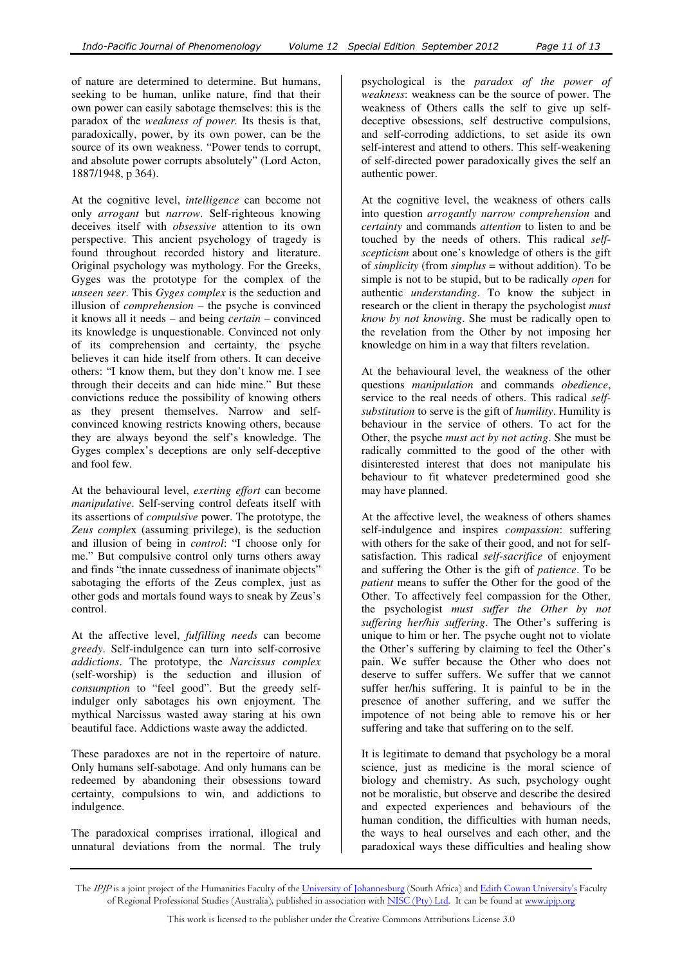of nature are determined to determine. But humans, seeking to be human, unlike nature, find that their own power can easily sabotage themselves: this is the paradox of the *weakness of power.* Its thesis is that, paradoxically, power, by its own power, can be the source of its own weakness. "Power tends to corrupt, and absolute power corrupts absolutely" (Lord Acton, 1887/1948, p 364).

At the cognitive level, *intelligence* can become not only *arrogant* but *narrow*. Self-righteous knowing deceives itself with *obsessive* attention to its own perspective. This ancient psychology of tragedy is found throughout recorded history and literature. Original psychology was mythology. For the Greeks, Gyges was the prototype for the complex of the *unseen seer*. This *Gyges complex* is the seduction and illusion of *comprehension* – the psyche is convinced it knows all it needs – and being *certain* – convinced its knowledge is unquestionable. Convinced not only of its comprehension and certainty, the psyche believes it can hide itself from others. It can deceive others: "I know them, but they don't know me. I see through their deceits and can hide mine." But these convictions reduce the possibility of knowing others as they present themselves. Narrow and selfconvinced knowing restricts knowing others, because they are always beyond the self's knowledge. The Gyges complex's deceptions are only self-deceptive and fool few.

At the behavioural level, *exerting effort* can become *manipulative*. Self-serving control defeats itself with its assertions of *compulsive* power. The prototype, the *Zeus comple*x (assuming privilege), is the seduction and illusion of being in *control*: "I choose only for me." But compulsive control only turns others away and finds "the innate cussedness of inanimate objects" sabotaging the efforts of the Zeus complex, just as other gods and mortals found ways to sneak by Zeus's control.

At the affective level, *fulfilling needs* can become *greedy*. Self-indulgence can turn into self-corrosive *addictions*. The prototype, the *Narcissus complex* (self-worship) is the seduction and illusion of *consumption* to "feel good". But the greedy selfindulger only sabotages his own enjoyment. The mythical Narcissus wasted away staring at his own beautiful face. Addictions waste away the addicted.

These paradoxes are not in the repertoire of nature. Only humans self-sabotage. And only humans can be redeemed by abandoning their obsessions toward certainty, compulsions to win, and addictions to indulgence.

The paradoxical comprises irrational, illogical and unnatural deviations from the normal. The truly psychological is the *paradox of the power of weakness*: weakness can be the source of power. The weakness of Others calls the self to give up selfdeceptive obsessions, self destructive compulsions, and self-corroding addictions, to set aside its own self-interest and attend to others. This self-weakening of self-directed power paradoxically gives the self an authentic power.

At the cognitive level, the weakness of others calls into question *arrogantly narrow comprehension* and *certainty* and commands *attention* to listen to and be touched by the needs of others. This radical *selfscepticism* about one's knowledge of others is the gift of *simplicity* (from *simplus* = without addition). To be simple is not to be stupid, but to be radically *open* for authentic *understanding*. To know the subject in research or the client in therapy the psychologist *must know by not knowing*. She must be radically open to the revelation from the Other by not imposing her knowledge on him in a way that filters revelation.

At the behavioural level, the weakness of the other questions *manipulation* and commands *obedience*, service to the real needs of others. This radical *selfsubstitution* to serve is the gift of *humility*. Humility is behaviour in the service of others. To act for the Other, the psyche *must act by not acting*. She must be radically committed to the good of the other with disinterested interest that does not manipulate his behaviour to fit whatever predetermined good she may have planned.

At the affective level, the weakness of others shames self-indulgence and inspires *compassion*: suffering with others for the sake of their good, and not for selfsatisfaction. This radical *self-sacrifice* of enjoyment and suffering the Other is the gift of *patience*. To be *patient* means to suffer the Other for the good of the Other. To affectively feel compassion for the Other, the psychologist *must suffer the Other by not suffering her/his suffering*. The Other's suffering is unique to him or her. The psyche ought not to violate the Other's suffering by claiming to feel the Other's pain. We suffer because the Other who does not deserve to suffer suffers. We suffer that we cannot suffer her/his suffering. It is painful to be in the presence of another suffering, and we suffer the impotence of not being able to remove his or her suffering and take that suffering on to the self.

It is legitimate to demand that psychology be a moral science, just as medicine is the moral science of biology and chemistry. As such, psychology ought not be moralistic, but observe and describe the desired and expected experiences and behaviours of the human condition, the difficulties with human needs, the ways to heal ourselves and each other, and the paradoxical ways these difficulties and healing show

The IPJP is a joint project of the Humanities Faculty of the University of Johannesburg (South Africa) and Edith Cowan University's Faculty of Regional Professional Studies (Australia), published in association with NISC (Pty) Ltd. It can be found at www.ipjp.org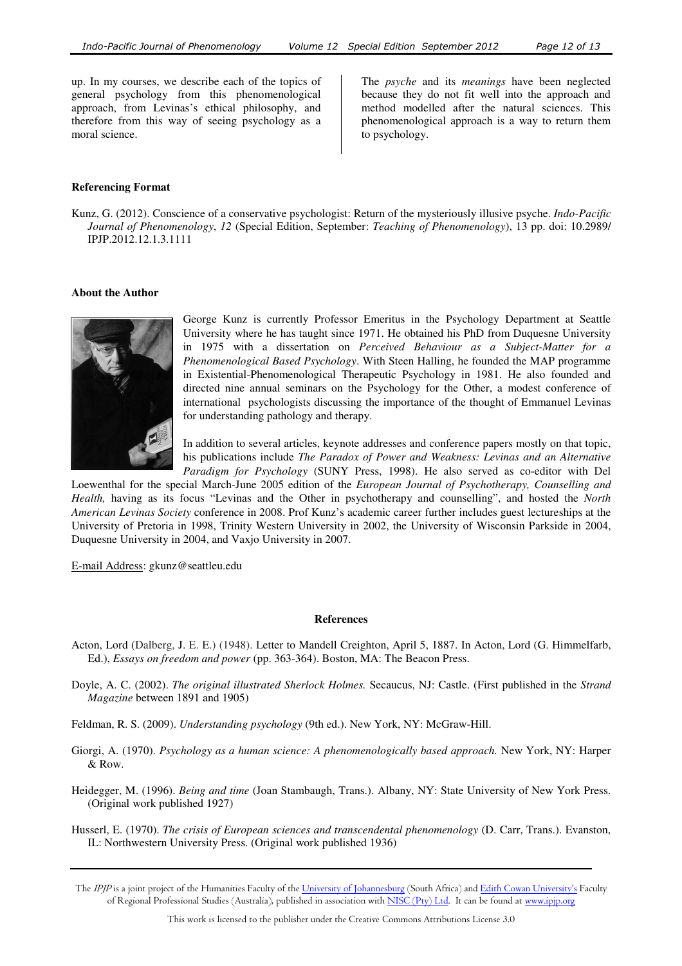up. In my courses, we describe each of the topics of general psychology from this phenomenological approach, from Levinas's ethical philosophy, and therefore from this way of seeing psychology as a moral science.

The *psyche* and its *meanings* have been neglected because they do not fit well into the approach and method modelled after the natural sciences. This phenomenological approach is a way to return them to psychology.

### **Referencing Format**

Kunz, G. (2012). Conscience of a conservative psychologist: Return of the mysteriously illusive psyche. *Indo-Pacific Journal of Phenomenology*, *12* (Special Edition, September: *Teaching of Phenomenology*), 13 pp. doi: 10.2989/ IPJP.2012.12.1.3.1111

#### **About the Author**



George Kunz is currently Professor Emeritus in the Psychology Department at Seattle University where he has taught since 1971. He obtained his PhD from Duquesne University in 1975 with a dissertation on *Perceived Behaviour as a Subject-Matter for a Phenomenological Based Psychology*. With Steen Halling, he founded the MAP programme in Existential-Phenomenological Therapeutic Psychology in 1981. He also founded and directed nine annual seminars on the Psychology for the Other, a modest conference of international psychologists discussing the importance of the thought of Emmanuel Levinas for understanding pathology and therapy.

In addition to several articles, keynote addresses and conference papers mostly on that topic, his publications include *The Paradox of Power and Weakness: Levinas and an Alternative Paradigm for Psychology* (SUNY Press, 1998). He also served as co-editor with Del

Loewenthal for the special March-June 2005 edition of the *European Journal of Psychotherapy, Counselling and Health,* having as its focus "Levinas and the Other in psychotherapy and counselling", and hosted the *North American Levinas Society* conference in 2008. Prof Kunz's academic career further includes guest lectureships at the University of Pretoria in 1998, Trinity Western University in 2002, the University of Wisconsin Parkside in 2004, Duquesne University in 2004, and Vaxjo University in 2007.

E-mail Address: gkunz@seattleu.edu

#### **References**

- Acton, Lord (Dalberg, J. E. E.) (1948). Letter to Mandell Creighton, April 5, 1887. In Acton, Lord (G. Himmelfarb, Ed.), *Essays on freedom and power* (pp. 363-364). Boston, MA: The Beacon Press.
- Doyle, A. C. (2002). *The original illustrated Sherlock Holmes.* Secaucus, NJ: Castle. (First published in the *Strand Magazine* between 1891 and 1905)

Feldman, R. S. (2009). *Understanding psychology* (9th ed.). New York, NY: McGraw-Hill.

- Giorgi, A. (1970). *Psychology as a human science: A phenomenologically based approach.* New York, NY: Harper  $&$  Row.
- Heidegger, M. (1996). *Being and time* (Joan Stambaugh, Trans.). Albany, NY: State University of New York Press. (Original work published 1927)
- Husserl, E. (1970). *The crisis of European sciences and transcendental phenomenology* (D. Carr, Trans.). Evanston, IL: Northwestern University Press. (Original work published 1936)
- The IPJP is a joint project of the Humanities Faculty of the University of Johannesburg (South Africa) and Edith Cowan University's Faculty of Regional Professional Studies (Australia), published in association with NISC (Pty) Ltd. It can be found at www.ipjp.org